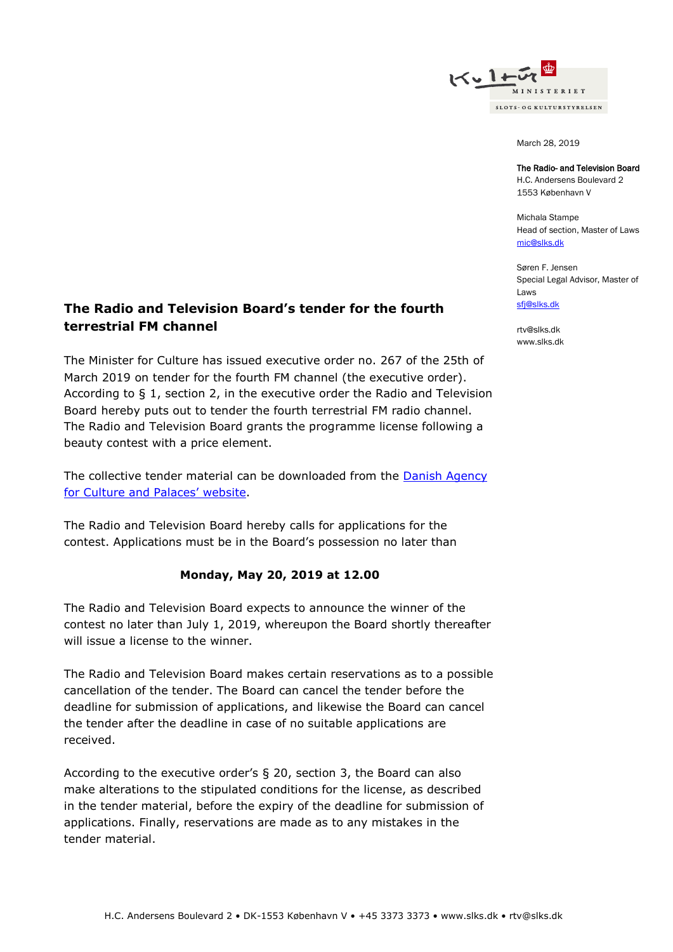

March 28, 2019

#### The Radio- and Television Board

H.C. Andersens Boulevard 2 1553 København V

Michala Stampe Head of section, Master of Laws [mic@slks.dk](mailto:mic@slks.dk)

Søren F. Jensen Special Legal Advisor, Master of Laws [sfj@slks.dk](mailto:sfj@slks.dk)

[rtv@slks.dk](mailto:rtv@slks.dk) [www.slks.dk](http://www.slks.dk/)

# **The Radio and Television Board's tender for the fourth terrestrial FM channel**

The Minister for Culture has issued executive order no. 267 of the 25th of March 2019 on tender for the fourth FM channel (the executive order). According to § 1, section 2, in the executive order the Radio and Television Board hereby puts out to tender the fourth terrestrial FM radio channel. The Radio and Television Board grants the programme license following a beauty contest with a price element.

The collective tender material can be downloaded from the **Danish Agency** [for Culture and P](https://slks.dk/omraader/medier/radio/public-service-radio/fm-4/udbud-2019/)alaces' website.

The Radio and Television Board hereby calls for applications for the contest. Applications must be in the Board's possession no later than

### **Monday, May 20, 2019 at 12.00**

The Radio and Television Board expects to announce the winner of the contest no later than July 1, 2019, whereupon the Board shortly thereafter will issue a license to the winner.

The Radio and Television Board makes certain reservations as to a possible cancellation of the tender. The Board can cancel the tender before the deadline for submission of applications, and likewise the Board can cancel the tender after the deadline in case of no suitable applications are received.

According to the executive order's § 20, section 3, the Board can also make alterations to the stipulated conditions for the license, as described in the tender material, before the expiry of the deadline for submission of applications. Finally, reservations are made as to any mistakes in the tender material.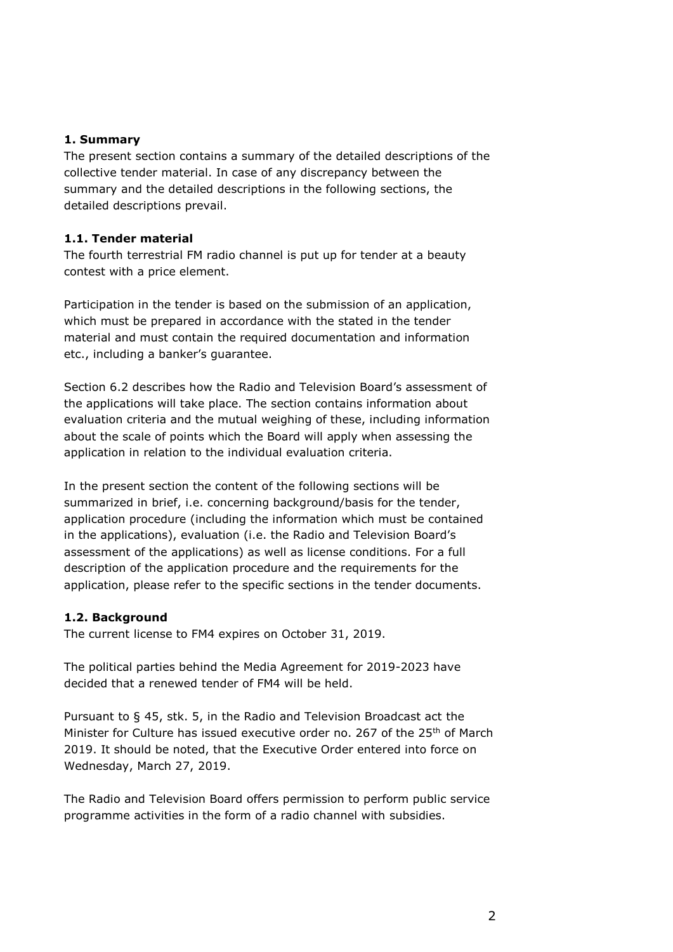## **1. Summary**

The present section contains a summary of the detailed descriptions of the collective tender material. In case of any discrepancy between the summary and the detailed descriptions in the following sections, the detailed descriptions prevail.

## **1.1. Tender material**

The fourth terrestrial FM radio channel is put up for tender at a beauty contest with a price element.

Participation in the tender is based on the submission of an application, which must be prepared in accordance with the stated in the tender material and must contain the required documentation and information etc., including a banker's guarantee.

Section 6.2 describes how the Radio and Television Board's assessment of the applications will take place. The section contains information about evaluation criteria and the mutual weighing of these, including information about the scale of points which the Board will apply when assessing the application in relation to the individual evaluation criteria.

In the present section the content of the following sections will be summarized in brief, i.e. concerning background/basis for the tender, application procedure (including the information which must be contained in the applications), evaluation (i.e. the Radio and Television Board's assessment of the applications) as well as license conditions. For a full description of the application procedure and the requirements for the application, please refer to the specific sections in the tender documents.

## **1.2. Background**

The current license to FM4 expires on October 31, 2019.

The political parties behind the Media Agreement for 2019-2023 have decided that a renewed tender of FM4 will be held.

Pursuant to § 45, stk. 5, in the Radio and Television Broadcast act the Minister for Culture has issued executive order no. 267 of the 25<sup>th</sup> of March 2019. It should be noted, that the Executive Order entered into force on Wednesday, March 27, 2019.

The Radio and Television Board offers permission to perform public service programme activities in the form of a radio channel with subsidies.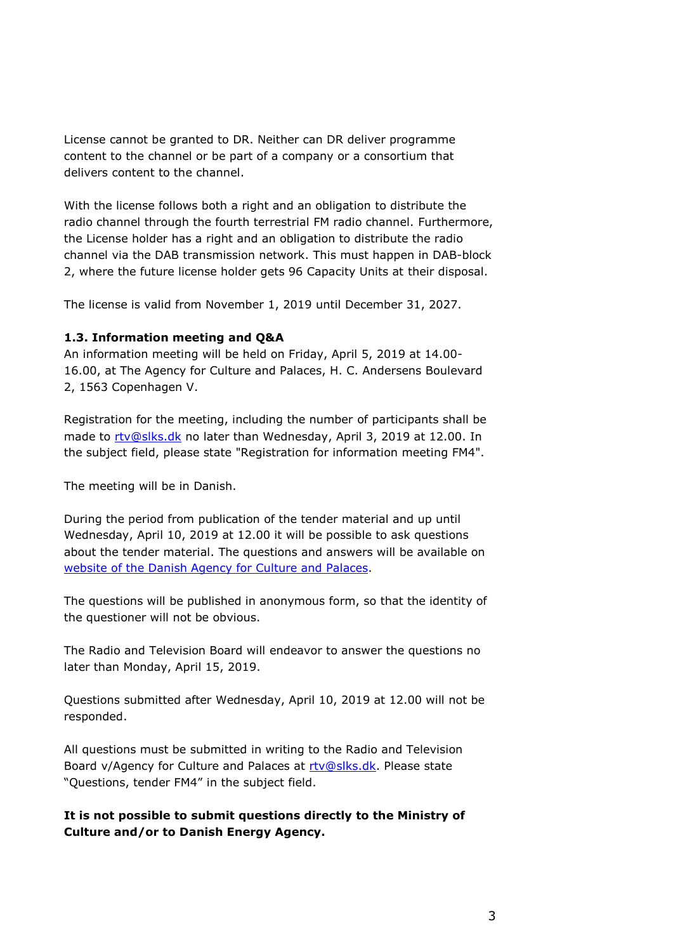License cannot be granted to DR. Neither can DR deliver programme content to the channel or be part of a company or a consortium that delivers content to the channel.

With the license follows both a right and an obligation to distribute the radio channel through the fourth terrestrial FM radio channel. Furthermore, the License holder has a right and an obligation to distribute the radio channel via the DAB transmission network. This must happen in DAB-block 2, where the future license holder gets 96 Capacity Units at their disposal.

The license is valid from November 1, 2019 until December 31, 2027.

## **1.3. Information meeting and Q&A**

An information meeting will be held on Friday, April 5, 2019 at 14.00- 16.00, at The Agency for Culture and Palaces, H. C. Andersens Boulevard 2, 1563 Copenhagen V.

Registration for the meeting, including the number of participants shall be made to [rtv@slks.dk](mailto:rtv@slks.dk) no later than Wednesday, April 3, 2019 at 12.00. In the subject field, please state "Registration for information meeting FM4".

The meeting will be in Danish.

During the period from publication of the tender material and up until Wednesday, April 10, 2019 at 12.00 it will be possible to ask questions about the tender material. The questions and answers will be available on website [of the Danish Agency for Culture and Palaces.](https://slks.dk/omraader/medier/radio/public-service-radio/fm-4/udbud-2019/)

The questions will be published in anonymous form, so that the identity of the questioner will not be obvious.

The Radio and Television Board will endeavor to answer the questions no later than Monday, April 15, 2019.

Questions submitted after Wednesday, April 10, 2019 at 12.00 will not be responded.

All questions must be submitted in writing to the Radio and Television Board v/Agency for Culture and Palaces at [rtv@slks.dk.](mailto:rtv@slks.dk) Please state "Questions, tender FM4" in the subject field.

**It is not possible to submit questions directly to the Ministry of Culture and/or to Danish Energy Agency.**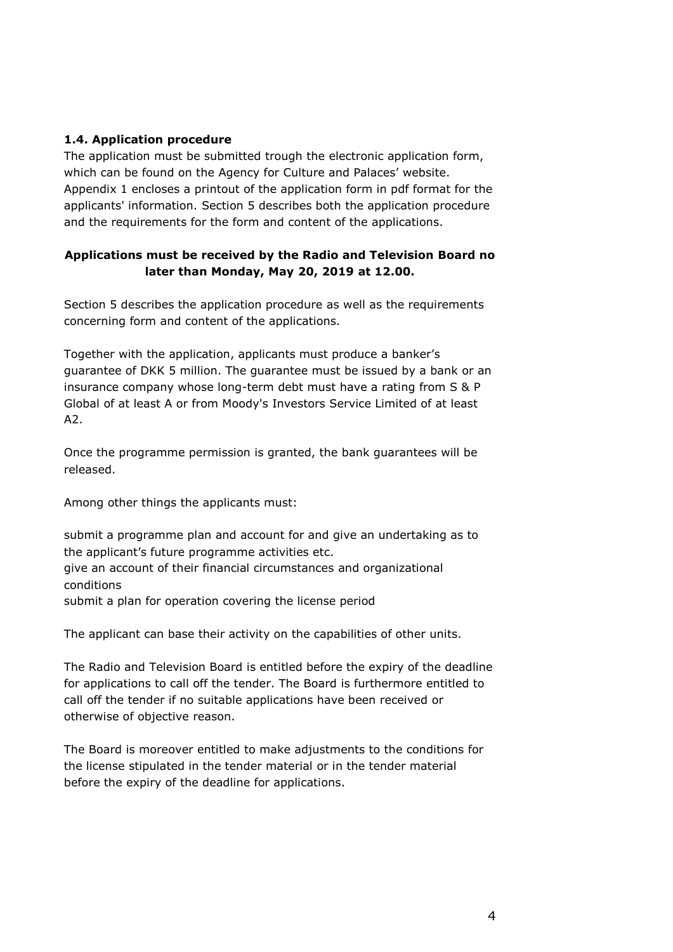## **1.4. Application procedure**

The application must be submitted trough the electronic application form, which can be found on the Agency for Culture and Palaces' website. Appendix 1 encloses a printout of the application form in pdf format for the applicants' information. Section 5 describes both the application procedure and the requirements for the form and content of the applications.

## **Applications must be received by the Radio and Television Board no later than Monday, May 20, 2019 at 12.00.**

Section 5 describes the application procedure as well as the requirements concerning form and content of the applications.

Together with the application, applicants must produce a banker's guarantee of DKK 5 million. The guarantee must be issued by a bank or an insurance company whose long-term debt must have a rating from S & P Global of at least A or from Moody's Investors Service Limited of at least A2.

Once the programme permission is granted, the bank guarantees will be released.

Among other things the applicants must:

submit a programme plan and account for and give an undertaking as to the applicant's future programme activities etc. give an account of their financial circumstances and organizational conditions submit a plan for operation covering the license period

The applicant can base their activity on the capabilities of other units.

The Radio and Television Board is entitled before the expiry of the deadline for applications to call off the tender. The Board is furthermore entitled to call off the tender if no suitable applications have been received or otherwise of objective reason.

The Board is moreover entitled to make adjustments to the conditions for the license stipulated in the tender material or in the tender material before the expiry of the deadline for applications.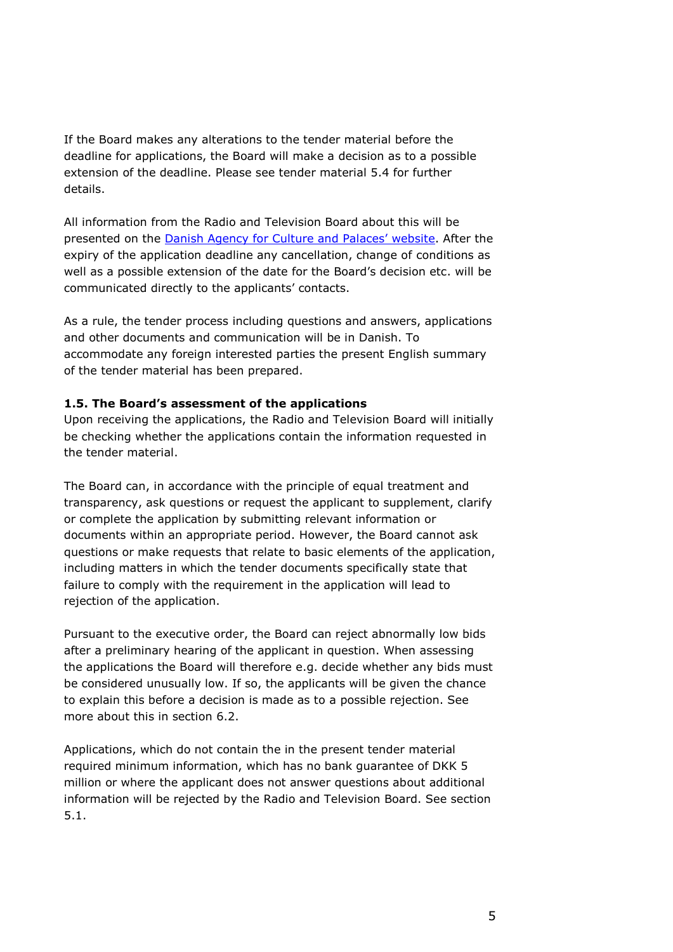If the Board makes any alterations to the tender material before the deadline for applications, the Board will make a decision as to a possible extension of the deadline. Please see tender material 5.4 for further details.

All information from the Radio and Television Board about this will be presented on the Danish Agency for [Culture and Palaces'](https://slks.dk/omraader/medier/radio/public-service-radio/fm-4/udbud-2019/) website. After the expiry of the application deadline any cancellation, change of conditions as well as a possible extension of the date for the Board's decision etc. will be communicated directly to the applicants' contacts.

As a rule, the tender process including questions and answers, applications and other documents and communication will be in Danish. To accommodate any foreign interested parties the present English summary of the tender material has been prepared.

## **1.5. The Board's assessment of the applications**

Upon receiving the applications, the Radio and Television Board will initially be checking whether the applications contain the information requested in the tender material.

The Board can, in accordance with the principle of equal treatment and transparency, ask questions or request the applicant to supplement, clarify or complete the application by submitting relevant information or documents within an appropriate period. However, the Board cannot ask questions or make requests that relate to basic elements of the application, including matters in which the tender documents specifically state that failure to comply with the requirement in the application will lead to rejection of the application.

Pursuant to the executive order, the Board can reject abnormally low bids after a preliminary hearing of the applicant in question. When assessing the applications the Board will therefore e.g. decide whether any bids must be considered unusually low. If so, the applicants will be given the chance to explain this before a decision is made as to a possible rejection. See more about this in section 6.2.

Applications, which do not contain the in the present tender material required minimum information, which has no bank guarantee of DKK 5 million or where the applicant does not answer questions about additional information will be rejected by the Radio and Television Board. See section 5.1.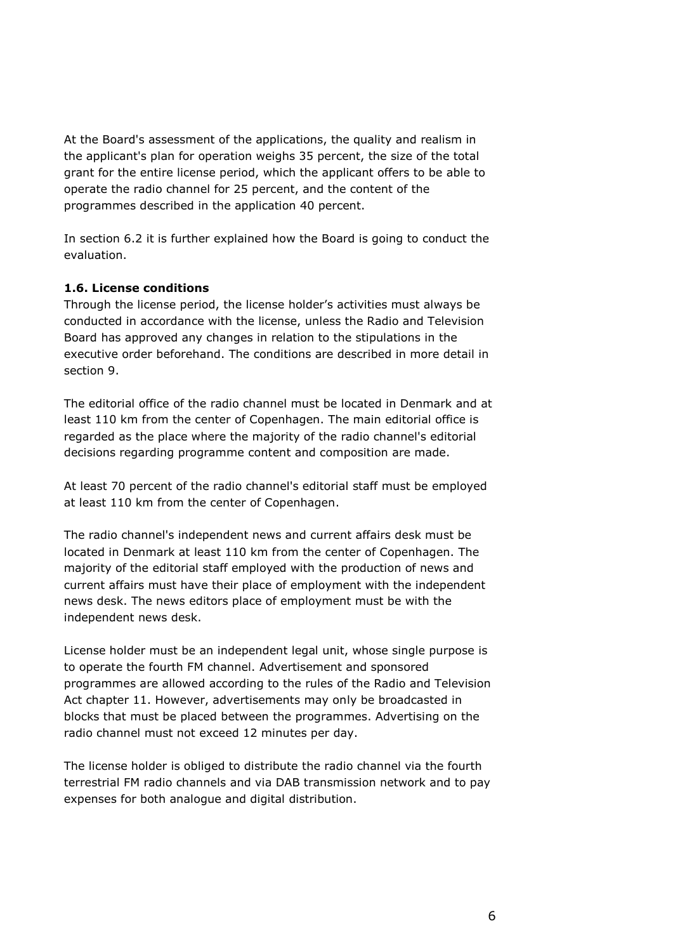At the Board's assessment of the applications, the quality and realism in the applicant's plan for operation weighs 35 percent, the size of the total grant for the entire license period, which the applicant offers to be able to operate the radio channel for 25 percent, and the content of the programmes described in the application 40 percent.

In section 6.2 it is further explained how the Board is going to conduct the evaluation.

## **1.6. License conditions**

Through the license period, the license holder's activities must always be conducted in accordance with the license, unless the Radio and Television Board has approved any changes in relation to the stipulations in the executive order beforehand. The conditions are described in more detail in section 9.

The editorial office of the radio channel must be located in Denmark and at least 110 km from the center of Copenhagen. The main editorial office is regarded as the place where the majority of the radio channel's editorial decisions regarding programme content and composition are made.

At least 70 percent of the radio channel's editorial staff must be employed at least 110 km from the center of Copenhagen.

The radio channel's independent news and current affairs desk must be located in Denmark at least 110 km from the center of Copenhagen. The majority of the editorial staff employed with the production of news and current affairs must have their place of employment with the independent news desk. The news editors place of employment must be with the independent news desk.

License holder must be an independent legal unit, whose single purpose is to operate the fourth FM channel. Advertisement and sponsored programmes are allowed according to the rules of the Radio and Television Act chapter 11. However, advertisements may only be broadcasted in blocks that must be placed between the programmes. Advertising on the radio channel must not exceed 12 minutes per day.

The license holder is obliged to distribute the radio channel via the fourth terrestrial FM radio channels and via DAB transmission network and to pay expenses for both analogue and digital distribution.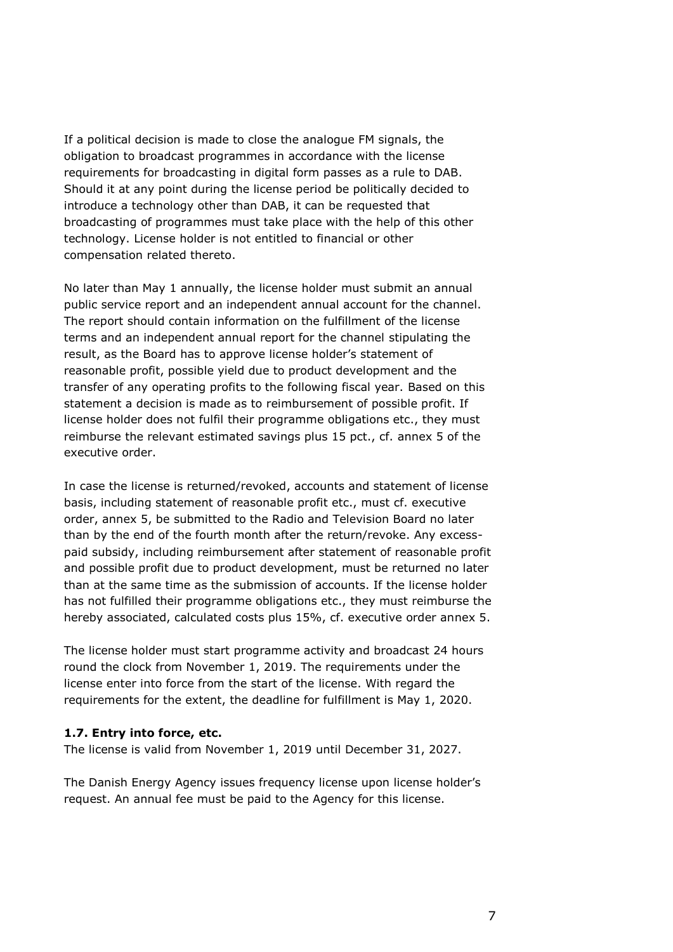If a political decision is made to close the analogue FM signals, the obligation to broadcast programmes in accordance with the license requirements for broadcasting in digital form passes as a rule to DAB. Should it at any point during the license period be politically decided to introduce a technology other than DAB, it can be requested that broadcasting of programmes must take place with the help of this other technology. License holder is not entitled to financial or other compensation related thereto.

No later than May 1 annually, the license holder must submit an annual public service report and an independent annual account for the channel. The report should contain information on the fulfillment of the license terms and an independent annual report for the channel stipulating the result, as the Board has to approve license holder's statement of reasonable profit, possible yield due to product development and the transfer of any operating profits to the following fiscal year. Based on this statement a decision is made as to reimbursement of possible profit. If license holder does not fulfil their programme obligations etc., they must reimburse the relevant estimated savings plus 15 pct., cf. annex 5 of the executive order.

In case the license is returned/revoked, accounts and statement of license basis, including statement of reasonable profit etc., must cf. executive order, annex 5, be submitted to the Radio and Television Board no later than by the end of the fourth month after the return/revoke. Any excesspaid subsidy, including reimbursement after statement of reasonable profit and possible profit due to product development, must be returned no later than at the same time as the submission of accounts. If the license holder has not fulfilled their programme obligations etc., they must reimburse the hereby associated, calculated costs plus 15%, cf. executive order annex 5.

The license holder must start programme activity and broadcast 24 hours round the clock from November 1, 2019. The requirements under the license enter into force from the start of the license. With regard the requirements for the extent, the deadline for fulfillment is May 1, 2020.

### **1.7. Entry into force, etc.**

The license is valid from November 1, 2019 until December 31, 2027.

The Danish Energy Agency issues frequency license upon license holder's request. An annual fee must be paid to the Agency for this license.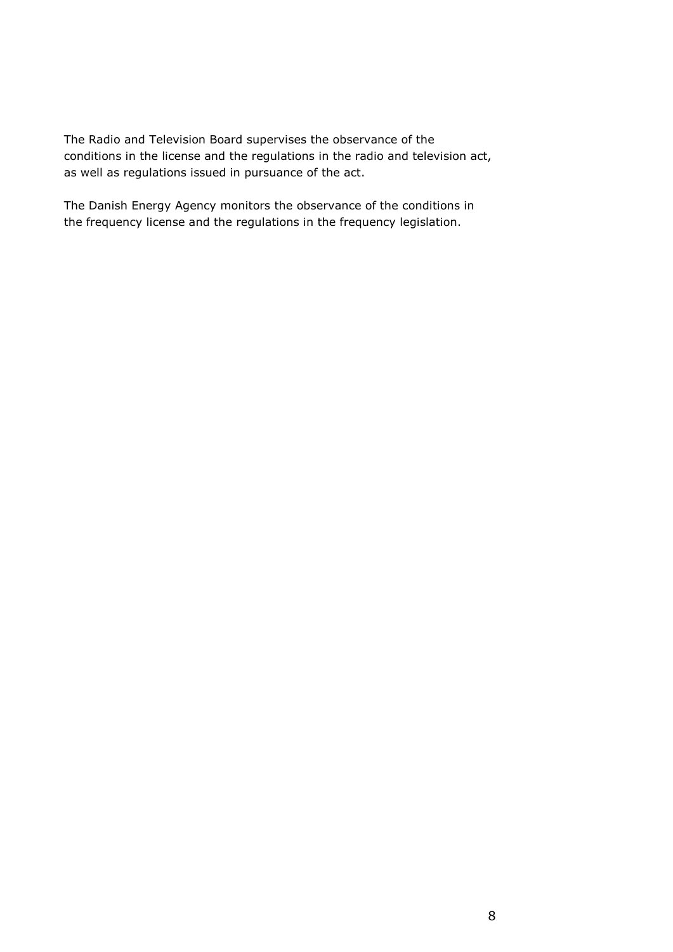The Radio and Television Board supervises the observance of the conditions in the license and the regulations in the radio and television act, as well as regulations issued in pursuance of the act.

The Danish Energy Agency monitors the observance of the conditions in the frequency license and the regulations in the frequency legislation.